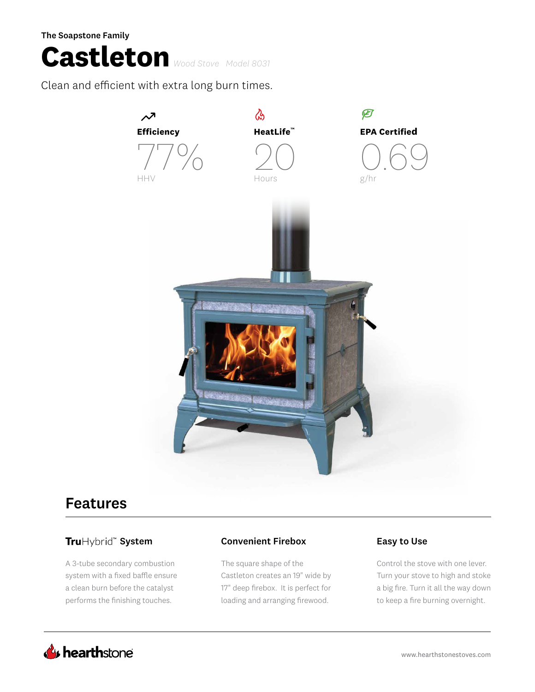The Soapstone Family

# **Castleton** *Wood Stove Model 8031*

Clean and efficient with extra long burn times.



## Features

### TruHybrid<sup>®</sup> System **Convenient Firebox** Easy to Use

A 3-tube secondary combustion system with a fixed baffle ensure a clean burn before the catalyst performs the finishing touches.

The square shape of the Castleton creates an 19" wide by 17" deep firebox. It is perfect for loading and arranging firewood.

Control the stove with one lever. Turn your stove to high and stoke a big fire. Turn it all the way down to keep a fire burning overnight.